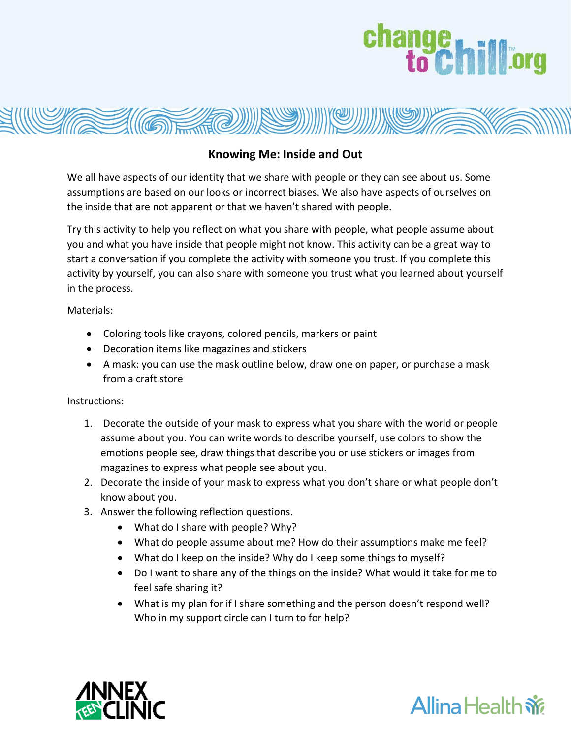## change<br>to Chilliorg



## **Knowing Me: Inside and Out**

We all have aspects of our identity that we share with people or they can see about us. Some assumptions are based on our looks or incorrect biases. We also have aspects of ourselves on the inside that are not apparent or that we haven't shared with people.

Try this activity to help you reflect on what you share with people, what people assume about you and what you have inside that people might not know. This activity can be a great way to start a conversation if you complete the activity with someone you trust. If you complete this activity by yourself, you can also share with someone you trust what you learned about yourself in the process.

Materials:

- Coloring tools like crayons, colored pencils, markers or paint
- Decoration items like magazines and stickers
- A mask: you can use the mask outline below, draw one on paper, or purchase a mask from a craft store

Instructions:

- 1. Decorate the outside of your mask to express what you share with the world or people assume about you. You can write words to describe yourself, use colors to show the emotions people see, draw things that describe you or use stickers or images from magazines to express what people see about you.
- 2. Decorate the inside of your mask to express what you don't share or what people don't know about you.
- 3. Answer the following reflection questions.
	- What do I share with people? Why?
	- What do people assume about me? How do their assumptions make me feel?
	- What do I keep on the inside? Why do I keep some things to myself?
	- Do I want to share any of the things on the inside? What would it take for me to feel safe sharing it?
	- What is my plan for if I share something and the person doesn't respond well? Who in my support circle can I turn to for help?



## **Allina Health**  $\dot{w}$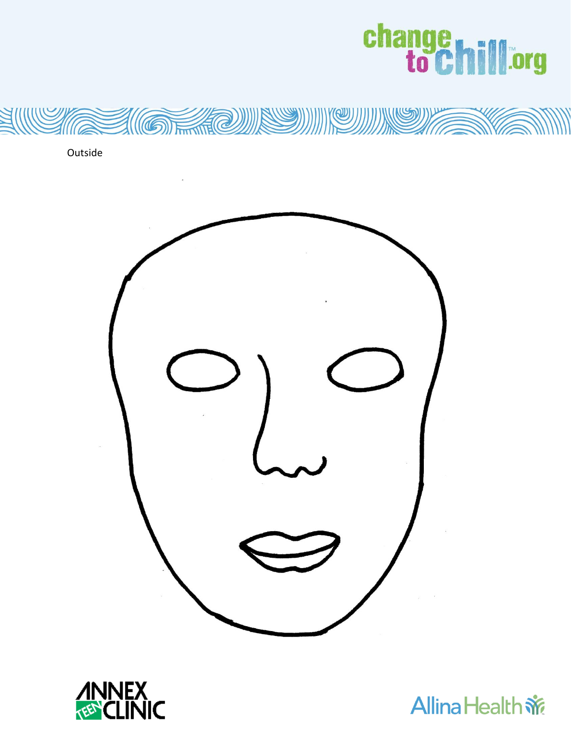



Outside





**Allina Health 帝**